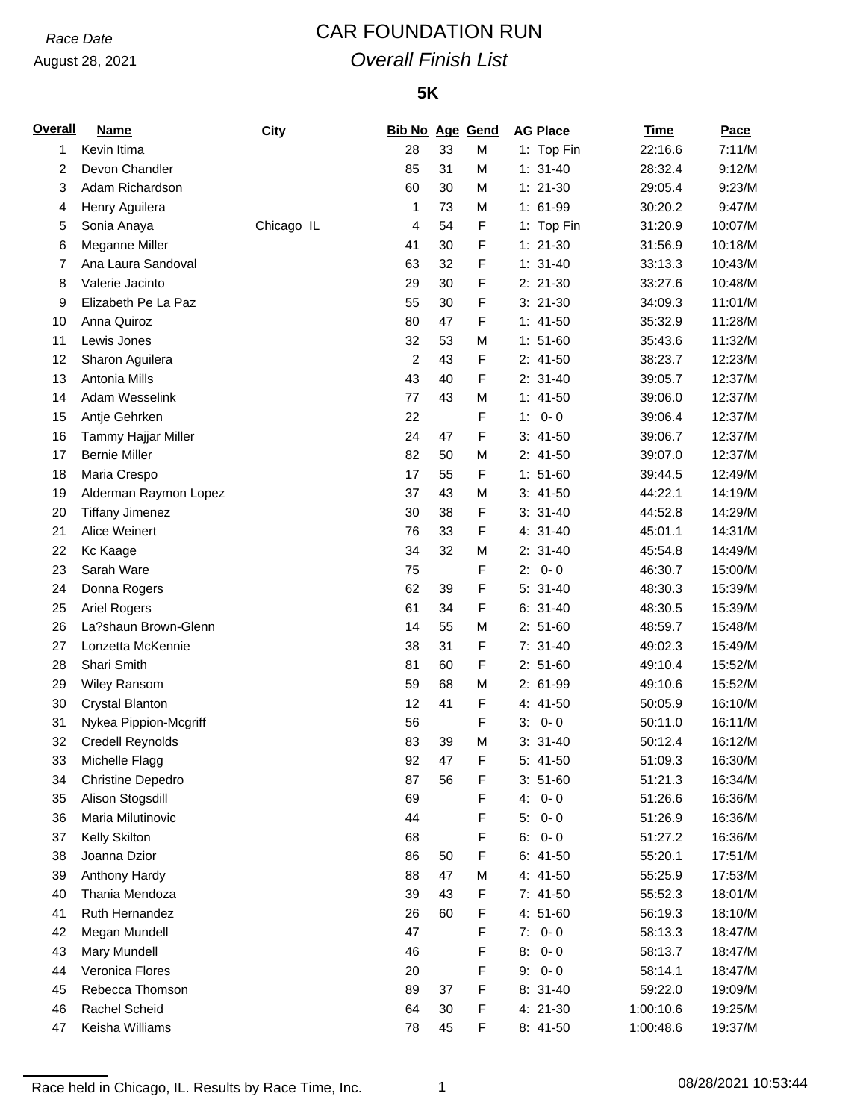August 28, 2021

# *Race Date* CAR FOUNDATION RUN *Overall Finish List*

## **5K**

| <b>Overall</b> | <b>Name</b>              | City       | <b>Bib No Age Gend</b> |    |   | <b>AG Place</b> | <b>Time</b> | Pace    |
|----------------|--------------------------|------------|------------------------|----|---|-----------------|-------------|---------|
| 1              | Kevin Itima              |            | 28                     | 33 | M | 1: Top Fin      | 22:16.6     | 7:11/M  |
| 2              | Devon Chandler           |            | 85                     | 31 | M | $1: 31-40$      | 28:32.4     | 9:12/M  |
| 3              | Adam Richardson          |            | 60                     | 30 | M | $1: 21-30$      | 29:05.4     | 9:23/M  |
| 4              | Henry Aguilera           |            | 1                      | 73 | M | 1: 61-99        | 30:20.2     | 9:47/M  |
| 5              | Sonia Anaya              | Chicago IL | 4                      | 54 | F | 1: Top Fin      | 31:20.9     | 10:07/M |
| 6              | Meganne Miller           |            | 41                     | 30 | F | $1: 21-30$      | 31:56.9     | 10:18/M |
| 7              | Ana Laura Sandoval       |            | 63                     | 32 | F | $1: 31-40$      | 33:13.3     | 10:43/M |
| 8              | Valerie Jacinto          |            | 29                     | 30 | F | 2: 21-30        | 33:27.6     | 10:48/M |
| 9              | Elizabeth Pe La Paz      |            | 55                     | 30 | F | $3: 21-30$      | 34:09.3     | 11:01/M |
| 10             | Anna Quiroz              |            | 80                     | 47 | F | $1: 41-50$      | 35:32.9     | 11:28/M |
| 11             | Lewis Jones              |            | 32                     | 53 | M | $1: 51-60$      | 35:43.6     | 11:32/M |
| 12             | Sharon Aguilera          |            | 2                      | 43 | F | $2: 41-50$      | 38:23.7     | 12:23/M |
| 13             | Antonia Mills            |            | 43                     | 40 | F | $2: 31-40$      | 39:05.7     | 12:37/M |
| 14             | Adam Wesselink           |            | 77                     | 43 | M | $1: 41-50$      | 39:06.0     | 12:37/M |
| 15             | Antje Gehrken            |            | 22                     |    | F | 1:<br>$0 - 0$   | 39:06.4     | 12:37/M |
| 16             | Tammy Hajjar Miller      |            | 24                     | 47 | F | $3: 41-50$      | 39:06.7     | 12:37/M |
| 17             | <b>Bernie Miller</b>     |            | 82                     | 50 | M | $2: 41-50$      | 39:07.0     | 12:37/M |
| 18             | Maria Crespo             |            | 17                     | 55 | F | $1: 51-60$      | 39:44.5     | 12:49/M |
| 19             | Alderman Raymon Lopez    |            | 37                     | 43 | M | $3: 41-50$      | 44:22.1     | 14:19/M |
| 20             | <b>Tiffany Jimenez</b>   |            | 30                     | 38 | F | $3: 31-40$      | 44:52.8     | 14:29/M |
| 21             | Alice Weinert            |            | 76                     | 33 | F | 4: 31-40        | 45:01.1     | 14:31/M |
| 22             | Kc Kaage                 |            | 34                     | 32 | M | $2: 31-40$      | 45:54.8     | 14:49/M |
| 23             | Sarah Ware               |            | 75                     |    | F | $0 - 0$<br>2:   | 46:30.7     | 15:00/M |
| 24             | Donna Rogers             |            | 62                     | 39 | F | $5: 31-40$      | 48:30.3     | 15:39/M |
| 25             | <b>Ariel Rogers</b>      |            | 61                     | 34 | F | $6: 31-40$      | 48:30.5     | 15:39/M |
| 26             | La?shaun Brown-Glenn     |            | 14                     | 55 | M | $2: 51-60$      | 48:59.7     | 15:48/M |
| 27             | Lonzetta McKennie        |            | 38                     | 31 | F | $7: 31-40$      | 49:02.3     | 15:49/M |
| 28             | Shari Smith              |            | 81                     | 60 | F | $2: 51-60$      | 49:10.4     | 15:52/M |
| 29             | <b>Wiley Ransom</b>      |            | 59                     | 68 | M | 2: 61-99        | 49:10.6     | 15:52/M |
| 30             | Crystal Blanton          |            | 12                     | 41 | F | 4: 41-50        | 50:05.9     | 16:10/M |
| 31             |                          |            | 56                     |    | F | $0 - 0$<br>3:   | 50:11.0     | 16:11/M |
| 32             | Nykea Pippion-Mcgriff    |            | 83                     | 39 | M | $3: 31-40$      |             | 16:12/M |
|                | <b>Credell Reynolds</b>  |            |                        |    |   |                 | 50:12.4     |         |
| 33             | Michelle Flagg           |            | 92                     | 47 | F | 5: 41-50        | 51:09.3     | 16:30/M |
| 34             | <b>Christine Depedro</b> |            | 87                     | 56 | F | $3: 51-60$      | 51:21.3     | 16:34/M |
| 35             | Alison Stogsdill         |            | 69                     |    | F | $0 - 0$<br>4:   | 51:26.6     | 16:36/M |
| 36             | Maria Milutinovic        |            | 44                     |    | F | 5:<br>$0 - 0$   | 51:26.9     | 16:36/M |
| 37             | Kelly Skilton            |            | 68                     |    | F | 6:<br>$0 - 0$   | 51:27.2     | 16:36/M |
| 38             | Joanna Dzior             |            | 86                     | 50 | F | $6: 41-50$      | 55:20.1     | 17:51/M |
| 39             | Anthony Hardy            |            | 88                     | 47 | M | 4: 41-50        | 55:25.9     | 17:53/M |
| 40             | Thania Mendoza           |            | 39                     | 43 | F | 7: 41-50        | 55:52.3     | 18:01/M |
| 41             | Ruth Hernandez           |            | 26                     | 60 | F | 4: 51-60        | 56:19.3     | 18:10/M |
| 42             | Megan Mundell            |            | 47                     |    | F | 7:<br>$0 - 0$   | 58:13.3     | 18:47/M |
| 43             | Mary Mundell             |            | 46                     |    | F | $0 - 0$<br>8.   | 58:13.7     | 18:47/M |
| 44             | Veronica Flores          |            | 20                     |    | F | $0 - 0$<br>9:   | 58:14.1     | 18:47/M |
| 45             | Rebecca Thomson          |            | 89                     | 37 | F | $8: 31-40$      | 59:22.0     | 19:09/M |
| 46             | Rachel Scheid            |            | 64                     | 30 | F | 4: 21-30        | 1:00:10.6   | 19:25/M |
| 47             | Keisha Williams          |            | 78                     | 45 | F | 8: 41-50        | 1:00:48.6   | 19:37/M |

Race held in Chicago, IL. Results by Race Time, Inc. 1 1 08/28/2021 10:53:44